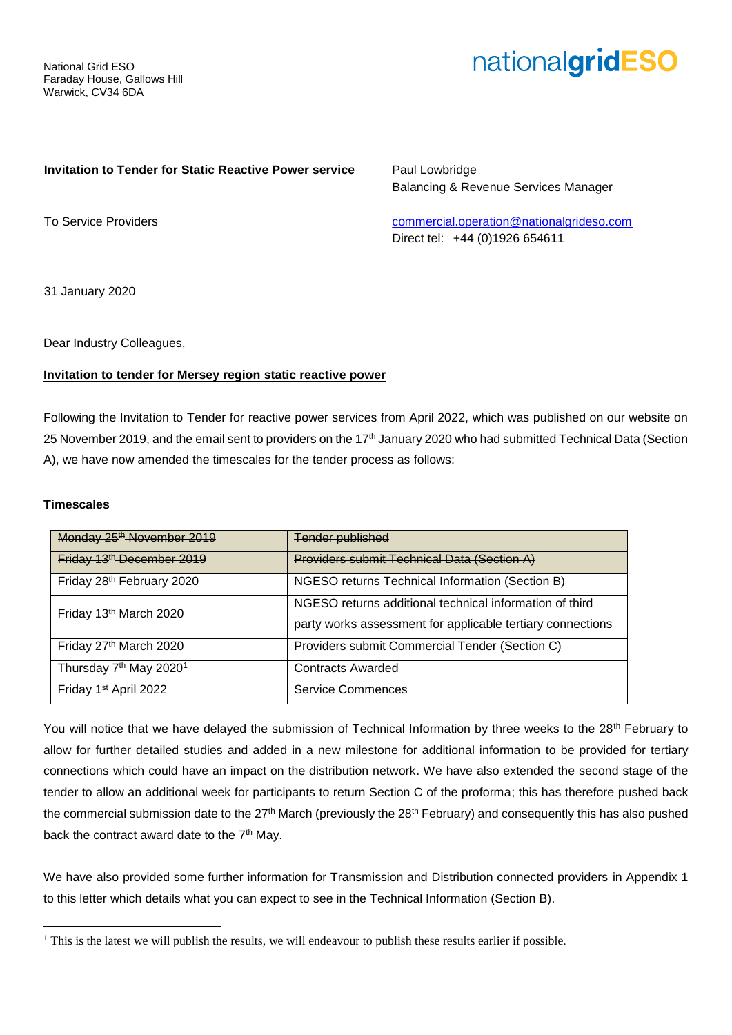National Grid ESO Faraday House, Gallows Hill Warwick, CV34 6DA

# nationalgridESO

#### **Invitation to Tender for Static Reactive Power service**

Paul Lowbridge Balancing & Revenue Services Manager

To Service Providers

[commercial.operation@nationalgrideso.com](mailto:commercial.operation@nationalgrideso.com) Direct tel: +44 (0)1926 654611

31 January 2020

Dear Industry Colleagues,

### **Invitation to tender for Mersey region static reactive power**

Following the Invitation to Tender for reactive power services from April 2022, which was published on our website on 25 November 2019, and the email sent to providers on the 17<sup>th</sup> January 2020 who had submitted Technical Data (Section A), we have now amended the timescales for the tender process as follows:

#### **Timescales**

 $\overline{a}$ 

| Monday 25 <sup>th</sup> November 2019          | <b>Tender published</b>                                    |
|------------------------------------------------|------------------------------------------------------------|
| Friday 13 <sup>th</sup> December 2019          | Providers submit Technical Data (Section A)                |
| Friday 28th February 2020                      | NGESO returns Technical Information (Section B)            |
| Friday 13th March 2020                         | NGESO returns additional technical information of third    |
|                                                | party works assessment for applicable tertiary connections |
| Friday 27th March 2020                         | Providers submit Commercial Tender (Section C)             |
| Thursday 7 <sup>th</sup> May 2020 <sup>1</sup> | <b>Contracts Awarded</b>                                   |
| Friday 1 <sup>st</sup> April 2022              | <b>Service Commences</b>                                   |

You will notice that we have delayed the submission of Technical Information by three weeks to the 28<sup>th</sup> February to allow for further detailed studies and added in a new milestone for additional information to be provided for tertiary connections which could have an impact on the distribution network. We have also extended the second stage of the tender to allow an additional week for participants to return Section C of the proforma; this has therefore pushed back the commercial submission date to the 27<sup>th</sup> March (previously the 28<sup>th</sup> February) and consequently this has also pushed back the contract award date to the 7<sup>th</sup> May.

We have also provided some further information for Transmission and Distribution connected providers in Appendix 1 to this letter which details what you can expect to see in the Technical Information (Section B).

<sup>&</sup>lt;sup>1</sup> This is the latest we will publish the results, we will endeavour to publish these results earlier if possible.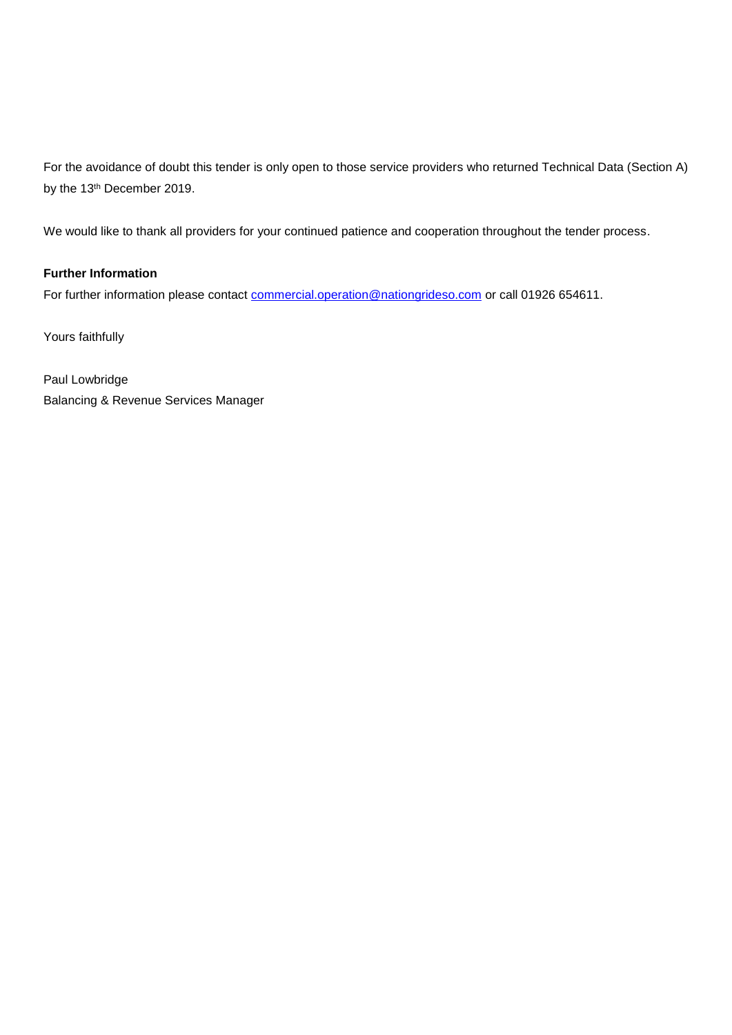For the avoidance of doubt this tender is only open to those service providers who returned Technical Data (Section A) by the 13<sup>th</sup> December 2019.

We would like to thank all providers for your continued patience and cooperation throughout the tender process.

# **Further Information**

For further information please contact [commercial.operation@nationgrideso.com](mailto:commercial.operation@nationgrideso.com) or call 01926 654611.

Yours faithfully

Paul Lowbridge Balancing & Revenue Services Manager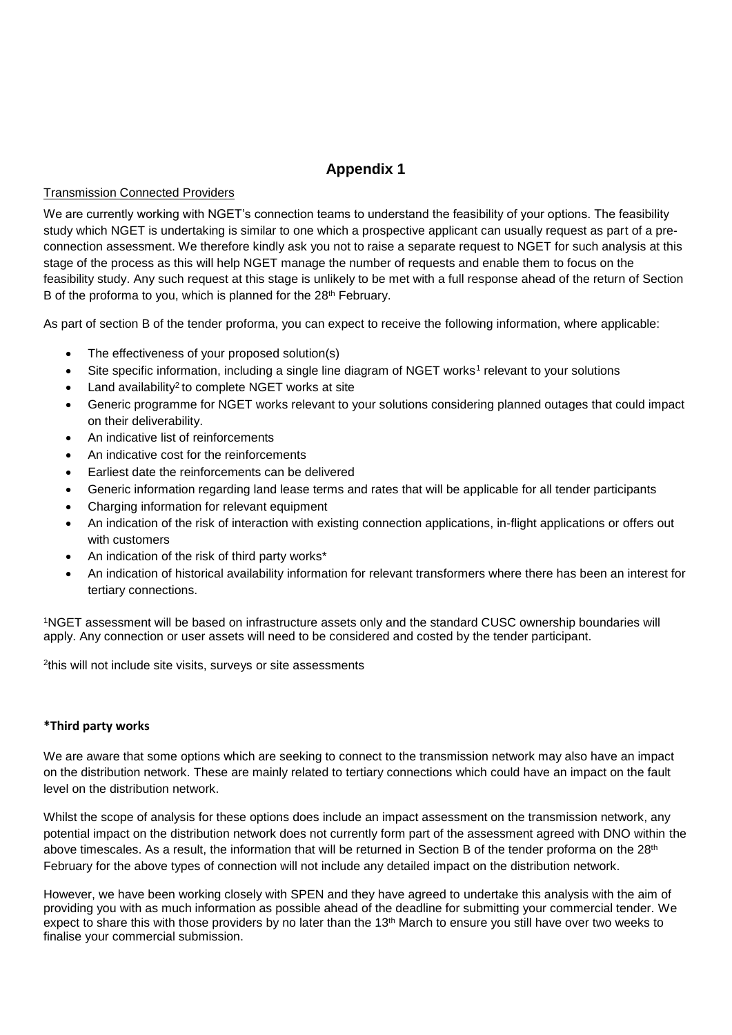# **Appendix 1**

### Transmission Connected Providers

We are currently working with NGET's connection teams to understand the feasibility of your options. The feasibility study which NGET is undertaking is similar to one which a prospective applicant can usually request as part of a preconnection assessment. We therefore kindly ask you not to raise a separate request to NGET for such analysis at this stage of the process as this will help NGET manage the number of requests and enable them to focus on the feasibility study. Any such request at this stage is unlikely to be met with a full response ahead of the return of Section B of the proforma to you, which is planned for the 28<sup>th</sup> February.

As part of section B of the tender proforma, you can expect to receive the following information, where applicable:

- The effectiveness of your proposed solution(s)
- Site specific information, including a single line diagram of NGET works<sup>1</sup> relevant to your solutions
- Land availability<sup>2</sup> to complete NGET works at site
- Generic programme for NGET works relevant to your solutions considering planned outages that could impact on their deliverability.
- An indicative list of reinforcements
- An indicative cost for the reinforcements
- Earliest date the reinforcements can be delivered
- Generic information regarding land lease terms and rates that will be applicable for all tender participants
- Charging information for relevant equipment
- An indication of the risk of interaction with existing connection applications, in-flight applications or offers out with customers
- An indication of the risk of third party works\*
- An indication of historical availability information for relevant transformers where there has been an interest for tertiary connections.

<sup>1</sup>NGET assessment will be based on infrastructure assets only and the standard CUSC ownership boundaries will apply. Any connection or user assets will need to be considered and costed by the tender participant.

2 this will not include site visits, surveys or site assessments

# **\*Third party works**

We are aware that some options which are seeking to connect to the transmission network may also have an impact on the distribution network. These are mainly related to tertiary connections which could have an impact on the fault level on the distribution network.

Whilst the scope of analysis for these options does include an impact assessment on the transmission network, any potential impact on the distribution network does not currently form part of the assessment agreed with DNO within the above timescales. As a result, the information that will be returned in Section B of the tender proforma on the 28<sup>th</sup> February for the above types of connection will not include any detailed impact on the distribution network.

However, we have been working closely with SPEN and they have agreed to undertake this analysis with the aim of providing you with as much information as possible ahead of the deadline for submitting your commercial tender. We expect to share this with those providers by no later than the 13<sup>th</sup> March to ensure you still have over two weeks to finalise your commercial submission.